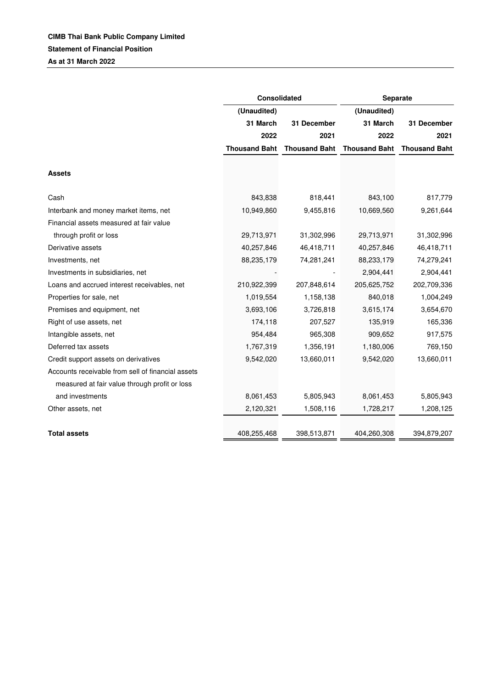|                                                   | <b>Consolidated</b>  |                      | Separate             |                      |
|---------------------------------------------------|----------------------|----------------------|----------------------|----------------------|
|                                                   | (Unaudited)          |                      | (Unaudited)          |                      |
|                                                   | 31 March             | 31 December          | 31 March             | 31 December          |
|                                                   | 2022                 | 2021                 | 2022                 | 2021                 |
|                                                   | <b>Thousand Baht</b> | <b>Thousand Baht</b> | <b>Thousand Baht</b> | <b>Thousand Baht</b> |
|                                                   |                      |                      |                      |                      |
| <b>Assets</b>                                     |                      |                      |                      |                      |
|                                                   |                      |                      |                      |                      |
| Cash                                              | 843,838              | 818,441              | 843,100              | 817,779              |
| Interbank and money market items, net             | 10,949,860           | 9,455,816            | 10,669,560           | 9,261,644            |
| Financial assets measured at fair value           |                      |                      |                      |                      |
| through profit or loss                            | 29,713,971           | 31,302,996           | 29,713,971           | 31,302,996           |
| Derivative assets                                 | 40,257,846           | 46,418,711           | 40,257,846           | 46,418,711           |
| Investments, net                                  | 88,235,179           | 74,281,241           | 88,233,179           | 74,279,241           |
| Investments in subsidiaries, net                  |                      |                      | 2,904,441            | 2,904,441            |
| Loans and accrued interest receivables, net       | 210,922,399          | 207,848,614          | 205,625,752          | 202,709,336          |
| Properties for sale, net                          | 1,019,554            | 1,158,138            | 840,018              | 1,004,249            |
| Premises and equipment, net                       | 3,693,106            | 3,726,818            | 3,615,174            | 3,654,670            |
| Right of use assets, net                          | 174,118              | 207,527              | 135,919              | 165,336              |
| Intangible assets, net                            | 954,484              | 965,308              | 909,652              | 917,575              |
| Deferred tax assets                               | 1,767,319            | 1,356,191            | 1,180,006            | 769,150              |
| Credit support assets on derivatives              | 9,542,020            | 13,660,011           | 9,542,020            | 13,660,011           |
| Accounts receivable from sell of financial assets |                      |                      |                      |                      |
| measured at fair value through profit or loss     |                      |                      |                      |                      |
| and investments                                   | 8,061,453            | 5,805,943            | 8,061,453            | 5,805,943            |
| Other assets, net                                 | 2,120,321            | 1,508,116            | 1,728,217            | 1,208,125            |
|                                                   |                      |                      |                      |                      |
| <b>Total assets</b>                               | 408,255,468          | 398,513,871          | 404,260,308          | 394,879,207          |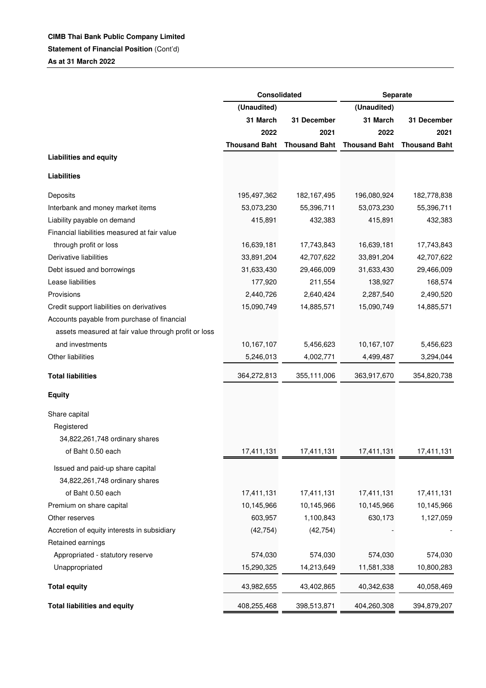## **CIMB Thai Bank Public Company Limited**

**Statement of Financial Position (Cont'd)** 

**As at 31 March 2022**

|                                                      | Consolidated         |                      | Separate             |                      |
|------------------------------------------------------|----------------------|----------------------|----------------------|----------------------|
|                                                      | (Unaudited)          |                      | (Unaudited)          |                      |
|                                                      | 31 March             | 31 December          | 31 March             | 31 December          |
|                                                      | 2022                 | 2021                 | 2022                 | 2021                 |
|                                                      | <b>Thousand Baht</b> | <b>Thousand Baht</b> | <b>Thousand Baht</b> | <b>Thousand Baht</b> |
| <b>Liabilities and equity</b>                        |                      |                      |                      |                      |
| <b>Liabilities</b>                                   |                      |                      |                      |                      |
| Deposits                                             | 195,497,362          | 182, 167, 495        | 196,080,924          | 182,778,838          |
| Interbank and money market items                     | 53,073,230           | 55,396,711           | 53,073,230           | 55,396,711           |
| Liability payable on demand                          | 415,891              | 432,383              | 415,891              | 432,383              |
| Financial liabilities measured at fair value         |                      |                      |                      |                      |
| through profit or loss                               | 16,639,181           | 17,743,843           | 16,639,181           | 17,743,843           |
| Derivative liabilities                               | 33,891,204           | 42,707,622           | 33,891,204           | 42,707,622           |
| Debt issued and borrowings                           | 31,633,430           | 29,466,009           | 31,633,430           | 29,466,009           |
| Lease liabilities                                    | 177,920              | 211,554              | 138,927              | 168,574              |
| Provisions                                           | 2,440,726            | 2,640,424            | 2,287,540            | 2,490,520            |
| Credit support liabilities on derivatives            | 15,090,749           | 14,885,571           | 15,090,749           | 14,885,571           |
| Accounts payable from purchase of financial          |                      |                      |                      |                      |
| assets measured at fair value through profit or loss |                      |                      |                      |                      |
| and investments                                      | 10,167,107           | 5,456,623            | 10,167,107           | 5,456,623            |
| Other liabilities                                    | 5,246,013            | 4,002,771            | 4,499,487            | 3,294,044            |
| <b>Total liabilities</b>                             | 364,272,813          | 355,111,006          | 363,917,670          | 354,820,738          |
| <b>Equity</b>                                        |                      |                      |                      |                      |
| Share capital                                        |                      |                      |                      |                      |
| Registered                                           |                      |                      |                      |                      |
| 34,822,261,748 ordinary shares                       |                      |                      |                      |                      |
| of Baht 0.50 each                                    | 17,411,131           | 17,411,131           | 17,411,131           | 17,411,131           |
| Issued and paid-up share capital                     |                      |                      |                      |                      |
| 34,822,261,748 ordinary shares                       |                      |                      |                      |                      |
| of Baht 0.50 each                                    | 17,411,131           | 17,411,131           | 17,411,131           | 17,411,131           |
| Premium on share capital                             | 10,145,966           | 10,145,966           | 10,145,966           | 10,145,966           |
| Other reserves                                       | 603,957              | 1,100,843            | 630,173              | 1,127,059            |
| Accretion of equity interests in subsidiary          | (42, 754)            | (42, 754)            |                      |                      |
| Retained earnings                                    |                      |                      |                      |                      |
| Appropriated - statutory reserve                     | 574,030              | 574,030              | 574,030              | 574,030              |
| Unappropriated                                       | 15,290,325           | 14,213,649           | 11,581,338           | 10,800,283           |
|                                                      |                      |                      |                      |                      |
| <b>Total equity</b>                                  | 43,982,655           | 43,402,865           | 40,342,638           | 40,058,469           |
| <b>Total liabilities and equity</b>                  | 408,255,468          | 398,513,871          | 404,260,308          | 394,879,207          |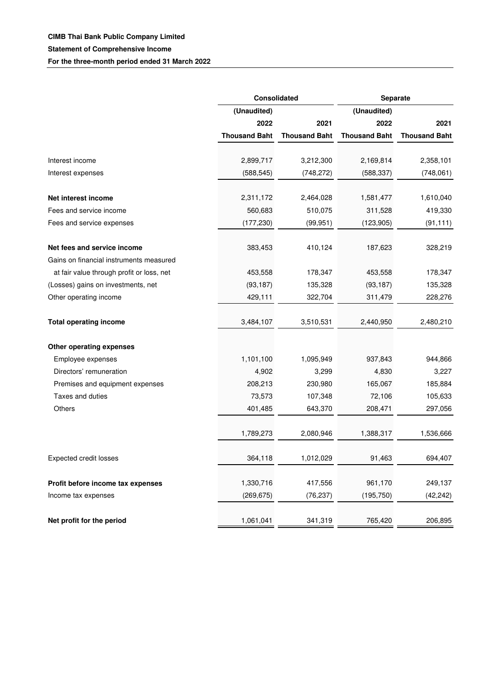|                                           |                      | Consolidated         |                      | Separate             |  |
|-------------------------------------------|----------------------|----------------------|----------------------|----------------------|--|
|                                           | (Unaudited)          |                      | (Unaudited)          |                      |  |
|                                           | 2022                 | 2021                 | 2022                 | 2021                 |  |
|                                           | <b>Thousand Baht</b> | <b>Thousand Baht</b> | <b>Thousand Baht</b> | <b>Thousand Baht</b> |  |
| Interest income                           | 2,899,717            | 3,212,300            | 2,169,814            | 2,358,101            |  |
| Interest expenses                         | (588, 545)           | (748, 272)           | (588, 337)           | (748, 061)           |  |
|                                           |                      |                      |                      |                      |  |
| Net interest income                       | 2,311,172            | 2,464,028            | 1,581,477            | 1,610,040            |  |
| Fees and service income                   | 560,683              | 510,075              | 311,528              | 419,330              |  |
| Fees and service expenses                 | (177, 230)           | (99, 951)            | (123, 905)           | (91, 111)            |  |
| Net fees and service income               | 383,453              | 410,124              | 187,623              | 328,219              |  |
| Gains on financial instruments measured   |                      |                      |                      |                      |  |
| at fair value through profit or loss, net | 453,558              | 178,347              | 453,558              | 178,347              |  |
| (Losses) gains on investments, net        | (93, 187)            | 135,328              | (93, 187)            | 135,328              |  |
| Other operating income                    | 429,111              | 322,704              | 311,479              | 228,276              |  |
| <b>Total operating income</b>             | 3,484,107            | 3,510,531            | 2,440,950            | 2,480,210            |  |
| Other operating expenses                  |                      |                      |                      |                      |  |
| Employee expenses                         | 1,101,100            | 1,095,949            | 937,843              | 944,866              |  |
| Directors' remuneration                   | 4,902                | 3,299                | 4,830                | 3,227                |  |
| Premises and equipment expenses           | 208,213              | 230,980              | 165,067              | 185,884              |  |
| Taxes and duties                          | 73,573               | 107,348              | 72,106               | 105,633              |  |
| <b>Others</b>                             | 401,485              | 643,370              | 208,471              | 297,056              |  |
|                                           | 1,789,273            | 2,080,946            | 1,388,317            | 1,536,666            |  |
| <b>Expected credit losses</b>             | 364,118              | 1,012,029            | 91,463               | 694,407              |  |
|                                           |                      |                      |                      |                      |  |
| Profit before income tax expenses         | 1,330,716            | 417,556              | 961,170              | 249,137              |  |
| Income tax expenses                       | (269, 675)           | (76, 237)            | (195, 750)           | (42, 242)            |  |
| Net profit for the period                 | 1,061,041            | 341,319              | 765,420              | 206,895              |  |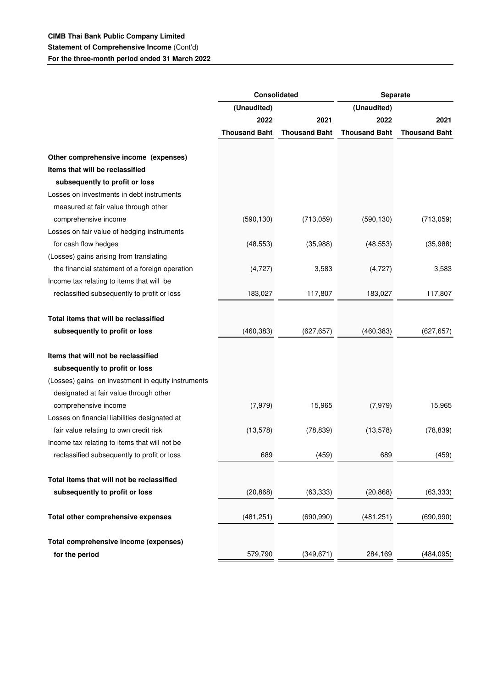## **CIMB Thai Bank Public Company Limited Statement of Comprehensive Income** (Cont'd)

**For the three-month period ended 31 March 2022**

|                                                    | <b>Consolidated</b>  |                      | Separate             |                      |
|----------------------------------------------------|----------------------|----------------------|----------------------|----------------------|
|                                                    | (Unaudited)          |                      | (Unaudited)          |                      |
|                                                    | 2022                 | 2021                 | 2022                 | 2021                 |
|                                                    | <b>Thousand Baht</b> | <b>Thousand Baht</b> | <b>Thousand Baht</b> | <b>Thousand Baht</b> |
|                                                    |                      |                      |                      |                      |
| Other comprehensive income (expenses)              |                      |                      |                      |                      |
| Items that will be reclassified                    |                      |                      |                      |                      |
| subsequently to profit or loss                     |                      |                      |                      |                      |
| Losses on investments in debt instruments          |                      |                      |                      |                      |
| measured at fair value through other               |                      |                      |                      |                      |
| comprehensive income                               | (590, 130)           | (713,059)            | (590, 130)           | (713,059)            |
| Losses on fair value of hedging instruments        |                      |                      |                      |                      |
| for cash flow hedges                               | (48, 553)            | (35,988)             | (48, 553)            | (35,988)             |
| (Losses) gains arising from translating            |                      |                      |                      |                      |
| the financial statement of a foreign operation     | (4, 727)             | 3,583                | (4, 727)             | 3,583                |
| Income tax relating to items that will be          |                      |                      |                      |                      |
| reclassified subsequently to profit or loss        | 183,027              | 117,807              | 183,027              | 117,807              |
| Total items that will be reclassified              |                      |                      |                      |                      |
| subsequently to profit or loss                     | (460, 383)           | (627, 657)           | (460, 383)           | (627, 657)           |
| Items that will not be reclassified                |                      |                      |                      |                      |
| subsequently to profit or loss                     |                      |                      |                      |                      |
| (Losses) gains on investment in equity instruments |                      |                      |                      |                      |
| designated at fair value through other             |                      |                      |                      |                      |
| comprehensive income                               | (7,979)              | 15,965               | (7, 979)             | 15,965               |
| Losses on financial liabilities designated at      |                      |                      |                      |                      |
| fair value relating to own credit risk             |                      |                      |                      |                      |
|                                                    | (13, 578)            | (78, 839)            | (13, 578)            | (78, 839)            |
| Income tax relating to items that will not be      |                      |                      |                      |                      |
| reclassified subsequently to profit or loss        | 689                  | (459)                | 689                  | (459)                |
| Total items that will not be reclassified          |                      |                      |                      |                      |
| subsequently to profit or loss                     | (20, 868)            | (63, 333)            | (20, 868)            | (63, 333)            |
| Total other comprehensive expenses                 | (481, 251)           | (690, 990)           | (481, 251)           | (690, 990)           |
|                                                    |                      |                      |                      |                      |
| Total comprehensive income (expenses)              |                      |                      |                      |                      |
| for the period                                     | 579,790              | (349, 671)           | 284,169              | (484, 095)           |